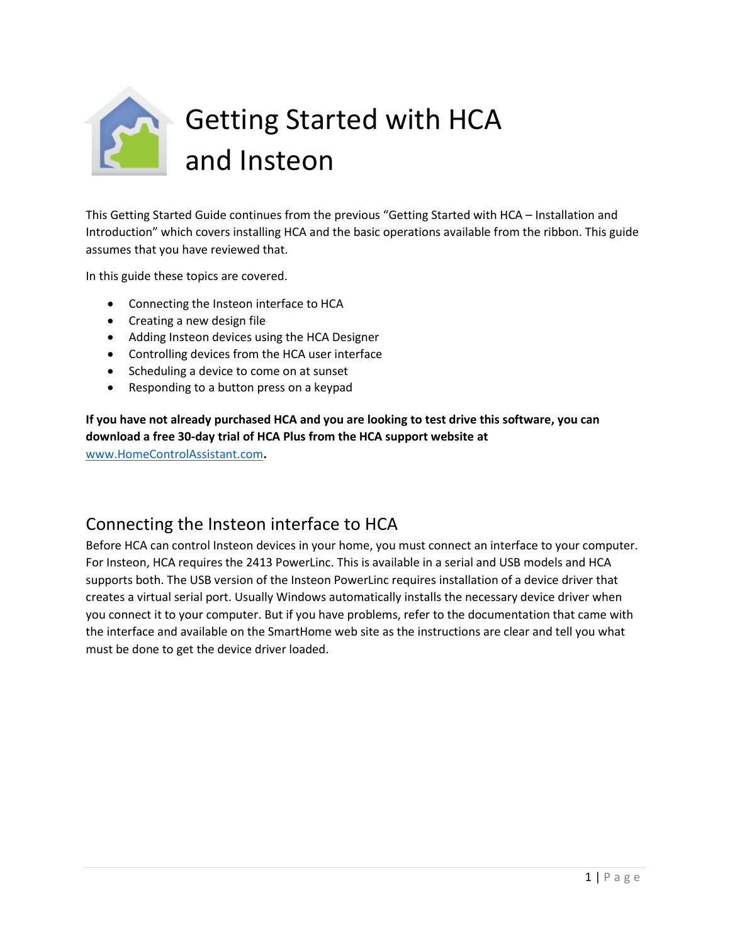

This Getting Started Guide continues from the previous "Getting Started with HCA – Installation and Introduction" which covers installing HCA and the basic operations available from the ribbon. This guide assumes that you have reviewed that.

In this guide these topics are covered.

- Connecting the Insteon interface to HCA
- Creating a new design file
- Adding Insteon devices using the HCA Designer
- Controlling devices from the HCA user interface
- Scheduling a device to come on at sunset
- Responding to a button press on a keypad

**If you have not already purchased HCA and you are looking to test drive this software, you can download a free 30-day trial of HCA Plus from the HCA support website at** 

[www.HomeControlAssistant.com](http://www.homecontrolassistant.com/)**.** 

## Connecting the Insteon interface to HCA

Before HCA can control Insteon devices in your home, you must connect an interface to your computer. For Insteon, HCA requires the 2413 PowerLinc. This is available in a serial and USB models and HCA supports both. The USB version of the Insteon PowerLinc requires installation of a device driver that creates a virtual serial port. Usually Windows automatically installs the necessary device driver when you connect it to your computer. But if you have problems, refer to the documentation that came with the interface and available on the SmartHome web site as the instructions are clear and tell you what must be done to get the device driver loaded.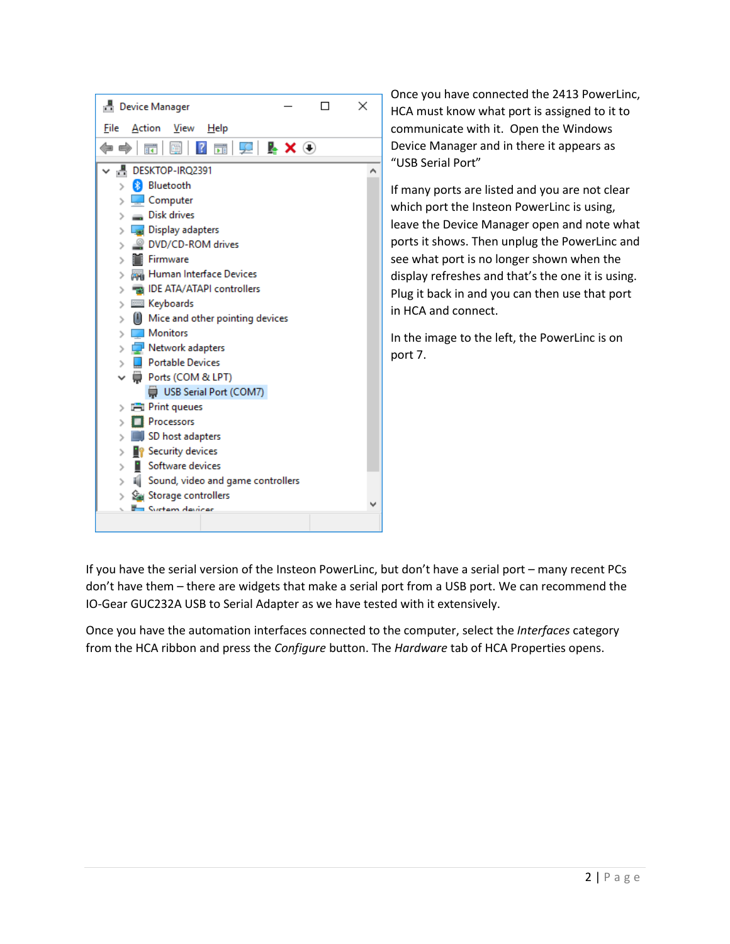

Once you have connected the 2413 PowerLinc, HCA must know what port is assigned to it to communicate with it. Open the Windows Device Manager and in there it appears as "USB Serial Port"

If many ports are listed and you are not clear which port the Insteon PowerLinc is using, leave the Device Manager open and note what ports it shows. Then unplug the PowerLinc and see what port is no longer shown when the display refreshes and that's the one it is using. Plug it back in and you can then use that port in HCA and connect.

In the image to the left, the PowerLinc is on port 7.

If you have the serial version of the Insteon PowerLinc, but don't have a serial port – many recent PCs don't have them – there are widgets that make a serial port from a USB port. We can recommend the IO-Gear GUC232A USB to Serial Adapter as we have tested with it extensively.

Once you have the automation interfaces connected to the computer, select the *Interfaces* category from the HCA ribbon and press the *Configure* button. The *Hardware* tab of HCA Properties opens.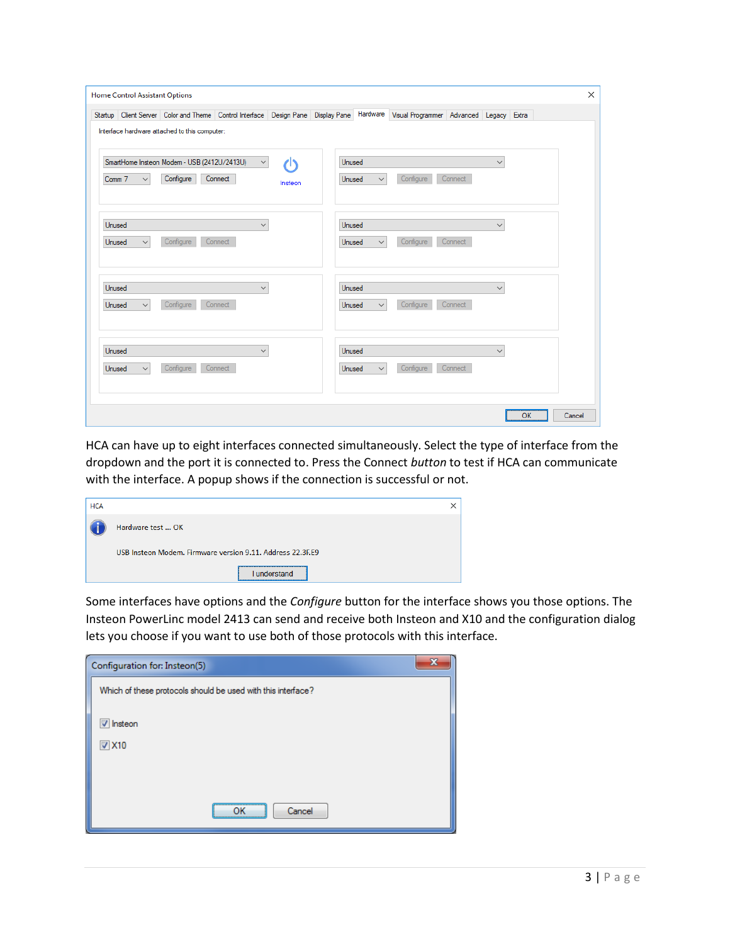|        |              | Startup Client Server Color and Theme Control Interface Design Pane Display Pane Hardware Visual Programmer Advanced Legacy Extra |              |         |               |              |           |         |              |  |
|--------|--------------|-----------------------------------------------------------------------------------------------------------------------------------|--------------|---------|---------------|--------------|-----------|---------|--------------|--|
|        |              | Interface hardware attached to this computer:                                                                                     |              |         |               |              |           |         |              |  |
|        |              | SmartHome Insteon Modem - USB (2412U/2413U)                                                                                       | $\checkmark$ | ረካ      | Unused        |              |           |         | $\checkmark$ |  |
| Comm 7 | $\checkmark$ | Configure                                                                                                                         | Connect      | Insteon | Unused        | $\checkmark$ | Configure | Connect |              |  |
|        |              |                                                                                                                                   |              |         |               |              |           |         |              |  |
| Unused |              |                                                                                                                                   | $\checkmark$ |         | <b>Unused</b> |              |           |         | $\checkmark$ |  |
| Unused | $\checkmark$ | Configure                                                                                                                         | Connect      |         | Unused        | $\checkmark$ | Configure | Connect |              |  |
| Unused |              |                                                                                                                                   | $\checkmark$ |         | Unused        |              |           |         | $\checkmark$ |  |
| Unused | $\checkmark$ | Configure                                                                                                                         | Connect      |         | Unused        | $\checkmark$ | Configure | Connect |              |  |
|        |              |                                                                                                                                   |              |         |               |              |           |         |              |  |
| Unused |              |                                                                                                                                   | $\checkmark$ |         | Unused        |              |           |         | $\checkmark$ |  |
| Unused | $\checkmark$ | Configure                                                                                                                         | Connect      |         | Unused        | $\checkmark$ | Configure | Connect |              |  |
|        |              |                                                                                                                                   |              |         |               |              |           |         |              |  |

HCA can have up to eight interfaces connected simultaneously. Select the type of interface from the dropdown and the port it is connected to. Press the Connect *button* to test if HCA can communicate with the interface. A popup shows if the connection is successful or not.

| <b>HCA</b> |                                                            |  |
|------------|------------------------------------------------------------|--|
|            | Hardware test  OK                                          |  |
|            | USB Insteon Modem. Firmware version 9.11. Address 22.3F.E9 |  |
|            | understand                                                 |  |

Some interfaces have options and the *Configure* button for the interface shows you those options. The Insteon PowerLinc model 2413 can send and receive both Insteon and X10 and the configuration dialog lets you choose if you want to use both of those protocols with this interface.

| x<br>Configuration for: Insteon(5)                           |  |
|--------------------------------------------------------------|--|
| Which of these protocols should be used with this interface? |  |
| <b>V</b> Insteon                                             |  |
| $\nabla$ X10                                                 |  |
|                                                              |  |
|                                                              |  |
| <br>Cancel<br>ΩK<br>\                                        |  |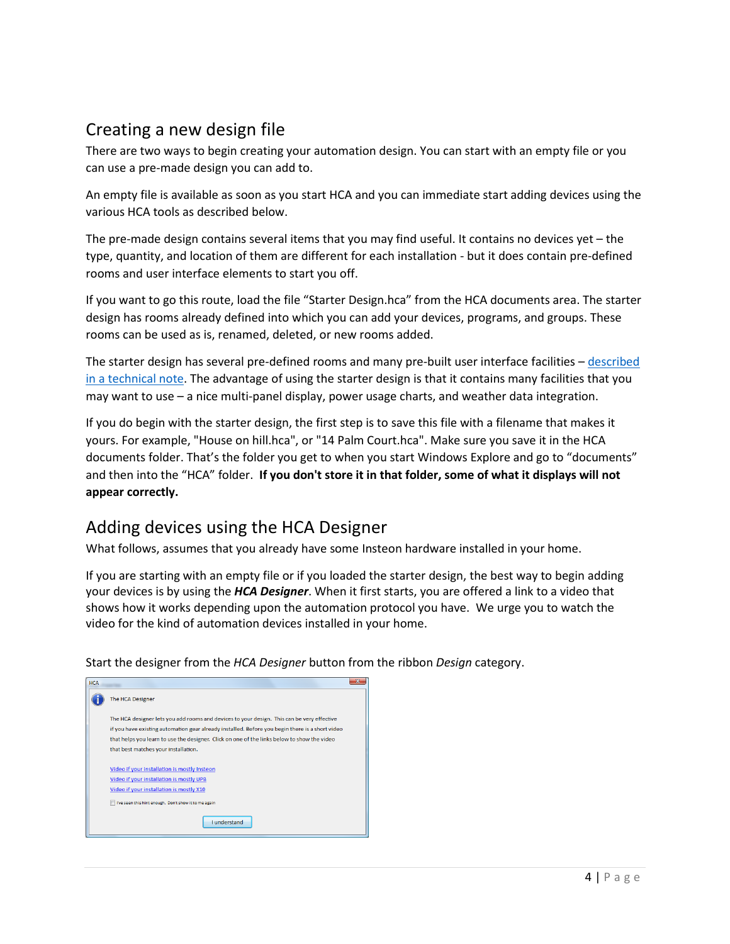## Creating a new design file

There are two ways to begin creating your automation design. You can start with an empty file or you can use a pre-made design you can add to.

An empty file is available as soon as you start HCA and you can immediate start adding devices using the various HCA tools as described below.

The pre-made design contains several items that you may find useful. It contains no devices yet – the type, quantity, and location of them are different for each installation - but it does contain pre-defined rooms and user interface elements to start you off.

If you want to go this route, load the file "Starter Design.hca" from the HCA documents area. The starter design has rooms already defined into which you can add your devices, programs, and groups. These rooms can be used as is, renamed, deleted, or new rooms added.

The starter design has several pre-defined rooms and many pre-built user interface facilities – [described](https://www.homecontrolassistant.com/download/V15/Doc/TechNotes/TechNote_122_StarterDesign.pdf)  [in a technical note.](https://www.homecontrolassistant.com/download/V15/Doc/TechNotes/TechNote_122_StarterDesign.pdf) The advantage of using the starter design is that it contains many facilities that you may want to use – a nice multi-panel display, power usage charts, and weather data integration.

If you do begin with the starter design, the first step is to save this file with a filename that makes it yours. For example, "House on hill.hca", or "14 Palm Court.hca". Make sure you save it in the HCA documents folder. That's the folder you get to when you start Windows Explore and go to "documents" and then into the "HCA" folder. **If you don't store it in that folder, some of what it displays will not appear correctly.**

## Adding devices using the HCA Designer

What follows, assumes that you already have some Insteon hardware installed in your home.

If you are starting with an empty file or if you loaded the starter design, the best way to begin adding your devices is by using the *HCA Designer*. When it first starts, you are offered a link to a video that shows how it works depending upon the automation protocol you have. We urge you to watch the video for the kind of automation devices installed in your home.

Start the designer from the *HCA Designer* button from the ribbon *Design* category.

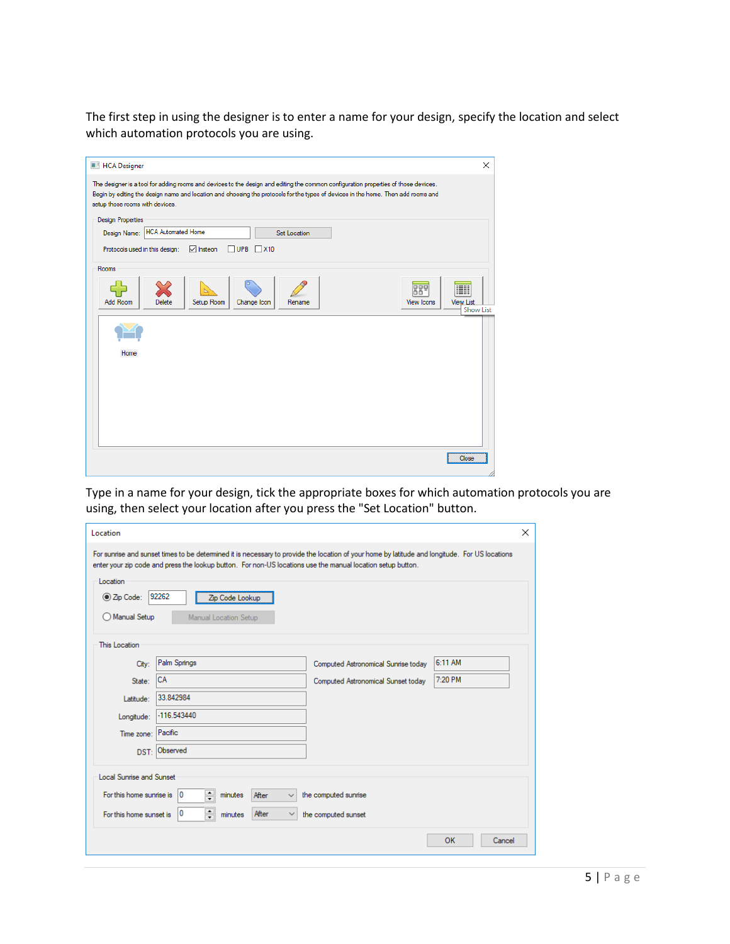The first step in using the designer is to enter a name for your design, specify the location and select which automation protocols you are using.

| <b>HCA Designer</b>                                                                                                                                                                                                                                                                                         | X                                           |
|-------------------------------------------------------------------------------------------------------------------------------------------------------------------------------------------------------------------------------------------------------------------------------------------------------------|---------------------------------------------|
| The designer is a tool for adding rooms and devices to the design and editing the common configuration properties of those devices.<br>Begin by editing the design name and location and choosing the protocols for the types of devices in the home. Then add rooms and<br>setup those rooms with devices. |                                             |
| <b>Design Properties</b>                                                                                                                                                                                                                                                                                    |                                             |
| <b>HCA Automated Home</b><br>Design Name:<br>Set Location                                                                                                                                                                                                                                                   |                                             |
| $\sqrt{\ }$ Insteon<br>$\Box$ UPB $\Box$ X10<br>Protocols used in this design:                                                                                                                                                                                                                              |                                             |
| Rooms                                                                                                                                                                                                                                                                                                       |                                             |
| 889<br><b>Add Room</b><br>Delete<br>Setup Room<br><b>View Icons</b><br>Change Icon<br>Rename                                                                                                                                                                                                                | EII<br><b>View List</b><br><b>Show List</b> |
|                                                                                                                                                                                                                                                                                                             |                                             |
| Home                                                                                                                                                                                                                                                                                                        |                                             |
|                                                                                                                                                                                                                                                                                                             |                                             |
|                                                                                                                                                                                                                                                                                                             |                                             |
|                                                                                                                                                                                                                                                                                                             |                                             |
|                                                                                                                                                                                                                                                                                                             |                                             |
|                                                                                                                                                                                                                                                                                                             | Close                                       |
|                                                                                                                                                                                                                                                                                                             |                                             |

Type in a name for your design, tick the appropriate boxes for which automation protocols you are using, then select your location after you press the "Set Location" button.

| Location                        |                                                                                                                                                                                                                                                               |                                     |              | × |  |  |  |
|---------------------------------|---------------------------------------------------------------------------------------------------------------------------------------------------------------------------------------------------------------------------------------------------------------|-------------------------------------|--------------|---|--|--|--|
|                                 | For sunrise and sunset times to be determined it is necessary to provide the location of your home by latitude and longitude. For US locations<br>enter your zip code and press the lookup button. For non-US locations use the manual location setup button. |                                     |              |   |  |  |  |
| Code:                           | Location<br>92262<br>Zip Code Lookup                                                                                                                                                                                                                          |                                     |              |   |  |  |  |
| Manual Setup                    | Manual Location Setup                                                                                                                                                                                                                                         |                                     |              |   |  |  |  |
| This Location                   |                                                                                                                                                                                                                                                               |                                     |              |   |  |  |  |
| City:                           | Palm Springs                                                                                                                                                                                                                                                  | Computed Astronomical Sunrise today | 6:11 AM      |   |  |  |  |
| State:                          | <b>CA</b>                                                                                                                                                                                                                                                     | Computed Astronomical Sunset today  | 7:20 PM      |   |  |  |  |
| Latitude:                       | 33.842984                                                                                                                                                                                                                                                     |                                     |              |   |  |  |  |
| Longitude:                      | $-116.543440$                                                                                                                                                                                                                                                 |                                     |              |   |  |  |  |
| Time zone: Pacific              |                                                                                                                                                                                                                                                               |                                     |              |   |  |  |  |
|                                 | DST: Observed                                                                                                                                                                                                                                                 |                                     |              |   |  |  |  |
| <b>Local Sunrise and Sunset</b> |                                                                                                                                                                                                                                                               |                                     |              |   |  |  |  |
| For this home sunrise is        | $\div$<br>$\overline{0}$<br>After<br>minutes<br>$\checkmark$                                                                                                                                                                                                  | the computed sunrise                |              |   |  |  |  |
| For this home sunset is         | $\div$<br>10<br>After<br>$\checkmark$<br>minutes                                                                                                                                                                                                              | the computed sunset                 |              |   |  |  |  |
|                                 |                                                                                                                                                                                                                                                               |                                     | OK<br>Cancel |   |  |  |  |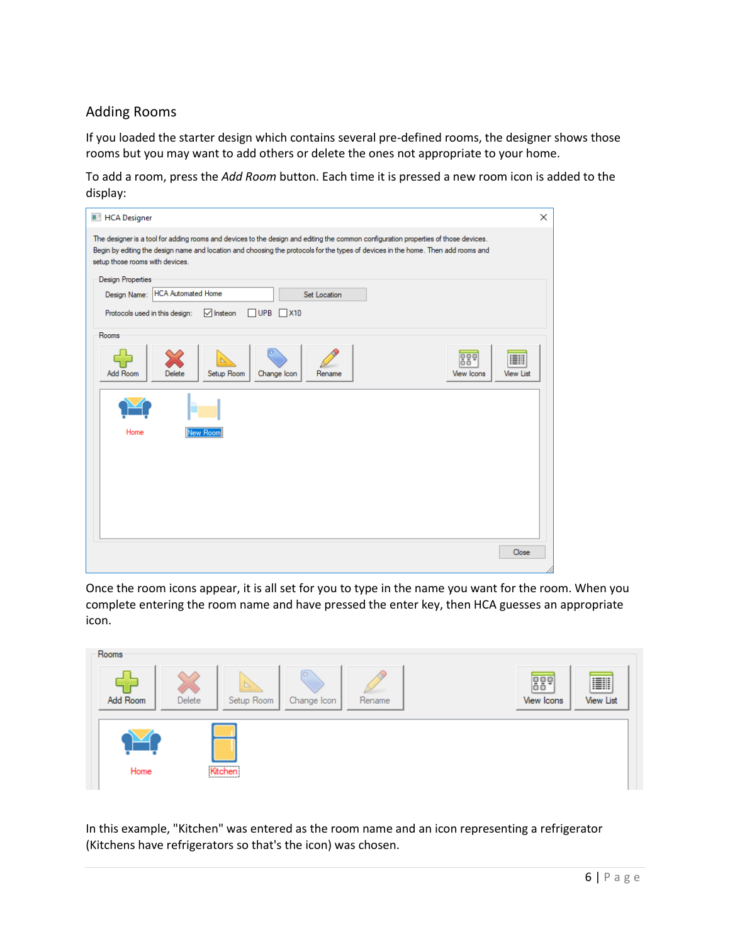### Adding Rooms

If you loaded the starter design which contains several pre-defined rooms, the designer shows those rooms but you may want to add others or delete the ones not appropriate to your home.

To add a room, press the *Add Room* button. Each time it is pressed a new room icon is added to the display:

| <b>HCA Designer</b>                                                                                                                                                                                                                                                                                         | X |
|-------------------------------------------------------------------------------------------------------------------------------------------------------------------------------------------------------------------------------------------------------------------------------------------------------------|---|
| The designer is a tool for adding rooms and devices to the design and editing the common configuration properties of those devices.<br>Begin by editing the design name and location and choosing the protocols for the types of devices in the home. Then add rooms and<br>setup those rooms with devices. |   |
| <b>Design Properties</b>                                                                                                                                                                                                                                                                                    |   |
| <b>HCA Automated Home</b><br>Design Name:<br>Set Location                                                                                                                                                                                                                                                   |   |
| $\sqrt{\ }$ Insteon<br>$\Box$ UPB $\Box$ X10<br>Protocols used in this design:                                                                                                                                                                                                                              |   |
| Rooms                                                                                                                                                                                                                                                                                                       |   |
| 889<br><b>Add Room</b><br>Setup Room<br><b>View Icons</b><br><b>View List</b><br>Delete<br>Change Icon<br>Rename                                                                                                                                                                                            |   |
|                                                                                                                                                                                                                                                                                                             |   |
| Home<br><b>New Room</b>                                                                                                                                                                                                                                                                                     |   |
|                                                                                                                                                                                                                                                                                                             |   |
|                                                                                                                                                                                                                                                                                                             |   |
|                                                                                                                                                                                                                                                                                                             |   |
|                                                                                                                                                                                                                                                                                                             |   |
| Close                                                                                                                                                                                                                                                                                                       |   |
|                                                                                                                                                                                                                                                                                                             |   |

Once the room icons appear, it is all set for you to type in the name you want for the room. When you complete entering the room name and have pressed the enter key, then HCA guesses an appropriate icon.



In this example, "Kitchen" was entered as the room name and an icon representing a refrigerator (Kitchens have refrigerators so that's the icon) was chosen.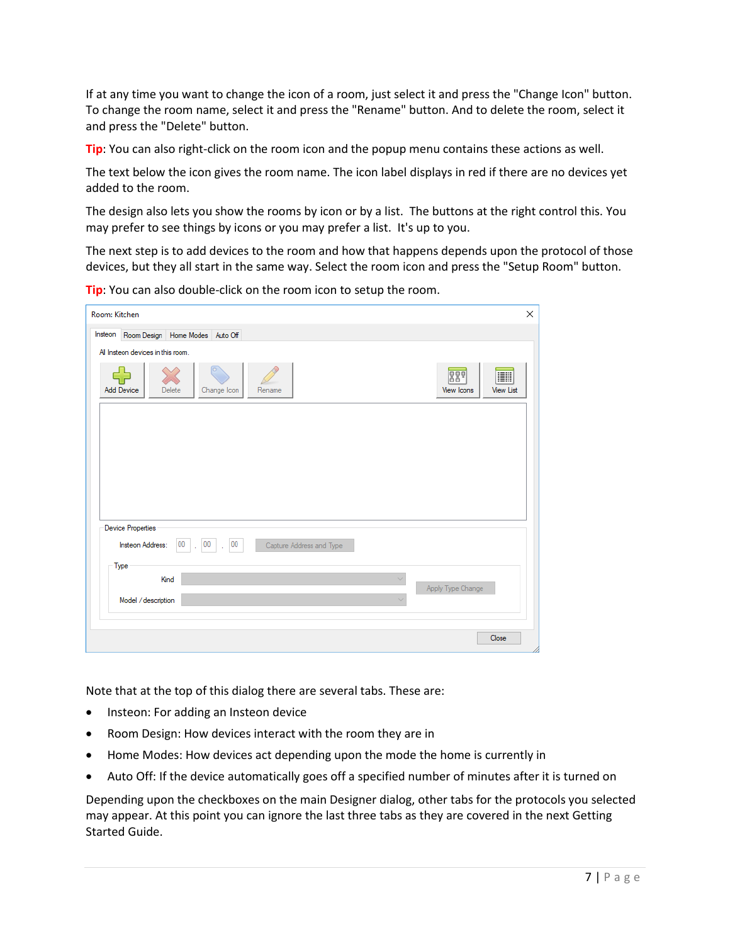If at any time you want to change the icon of a room, just select it and press the "Change Icon" button. To change the room name, select it and press the "Rename" button. And to delete the room, select it and press the "Delete" button.

**Tip**: You can also right-click on the room icon and the popup menu contains these actions as well.

The text below the icon gives the room name. The icon label displays in red if there are no devices yet added to the room.

The design also lets you show the rooms by icon or by a list. The buttons at the right control this. You may prefer to see things by icons or you may prefer a list. It's up to you.

The next step is to add devices to the room and how that happens depends upon the protocol of those devices, but they all start in the same way. Select the room icon and press the "Setup Room" button.

Room: Kitchen  $\times$ Insteon Room Design | Home Modes | Auto Off All Insteon devices in this room 886 EII 52 **Add Device** Delete Change Icon Rename **View List** View Ico **Device Properties** Insteon Address:  $00$ 00  $00\,$ Capture Address and Type Type Kind Apply Type Change Model / description Close

**Tip**: You can also double-click on the room icon to setup the room.

Note that at the top of this dialog there are several tabs. These are:

- Insteon: For adding an Insteon device
- Room Design: How devices interact with the room they are in
- Home Modes: How devices act depending upon the mode the home is currently in
- Auto Off: If the device automatically goes off a specified number of minutes after it is turned on

Depending upon the checkboxes on the main Designer dialog, other tabs for the protocols you selected may appear. At this point you can ignore the last three tabs as they are covered in the next Getting Started Guide.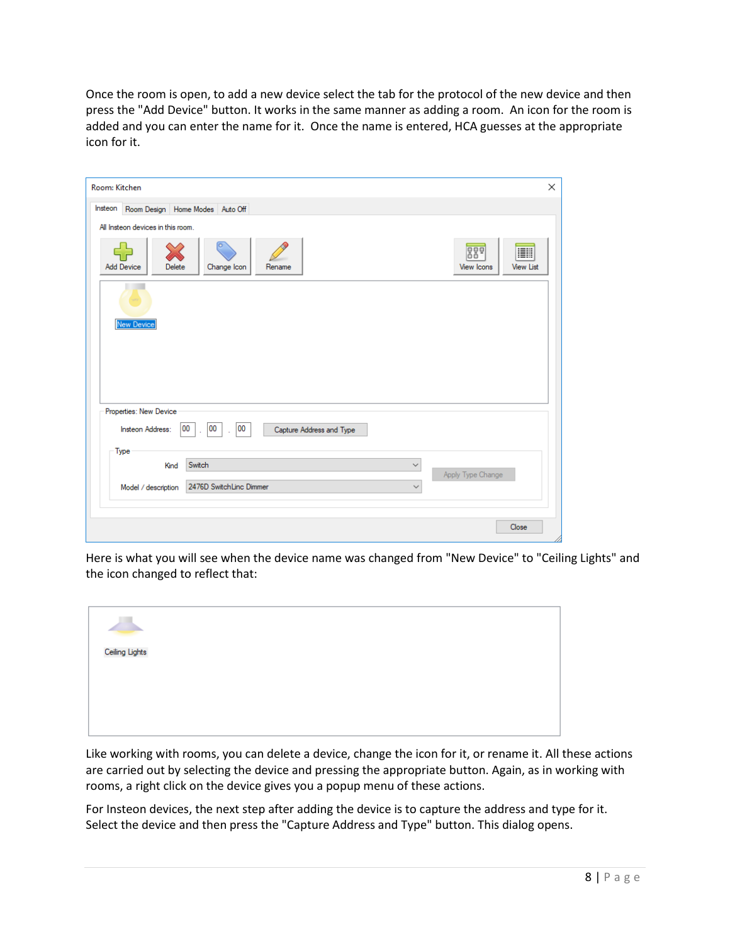Once the room is open, to add a new device select the tab for the protocol of the new device and then press the "Add Device" button. It works in the same manner as adding a room. An icon for the room is added and you can enter the name for it. Once the name is entered, HCA guesses at the appropriate icon for it.

| Insteon                           | Room Design   Home Modes   Auto Off              |              |                   |                         |
|-----------------------------------|--------------------------------------------------|--------------|-------------------|-------------------------|
| All Insteon devices in this room. |                                                  |              |                   |                         |
| <b>Add Device</b><br>Delete       | o<br>Change Icon<br>Rename                       |              | 889<br>View Icons | EII<br><b>View List</b> |
|                                   |                                                  |              |                   |                         |
|                                   |                                                  |              |                   |                         |
| <b>New Device</b>                 |                                                  |              |                   |                         |
|                                   |                                                  |              |                   |                         |
|                                   |                                                  |              |                   |                         |
|                                   |                                                  |              |                   |                         |
|                                   |                                                  |              |                   |                         |
| Properties: New Device            |                                                  |              |                   |                         |
| Insteon Address:                  | 00<br>00<br>00<br>Capture Address and Type<br>l. |              |                   |                         |
| Type                              |                                                  |              |                   |                         |
| Kind                              | Switch                                           | $\checkmark$ | Apply Type Change |                         |

Here is what you will see when the device name was changed from "New Device" to "Ceiling Lights" and the icon changed to reflect that:

| $\blacktriangleright$ |  |  |  |
|-----------------------|--|--|--|
|                       |  |  |  |
|                       |  |  |  |
| Ceiling Lights        |  |  |  |
|                       |  |  |  |
|                       |  |  |  |
|                       |  |  |  |
|                       |  |  |  |
|                       |  |  |  |
|                       |  |  |  |
|                       |  |  |  |
|                       |  |  |  |
|                       |  |  |  |
|                       |  |  |  |
|                       |  |  |  |

Like working with rooms, you can delete a device, change the icon for it, or rename it. All these actions are carried out by selecting the device and pressing the appropriate button. Again, as in working with rooms, a right click on the device gives you a popup menu of these actions.

For Insteon devices, the next step after adding the device is to capture the address and type for it. Select the device and then press the "Capture Address and Type" button. This dialog opens.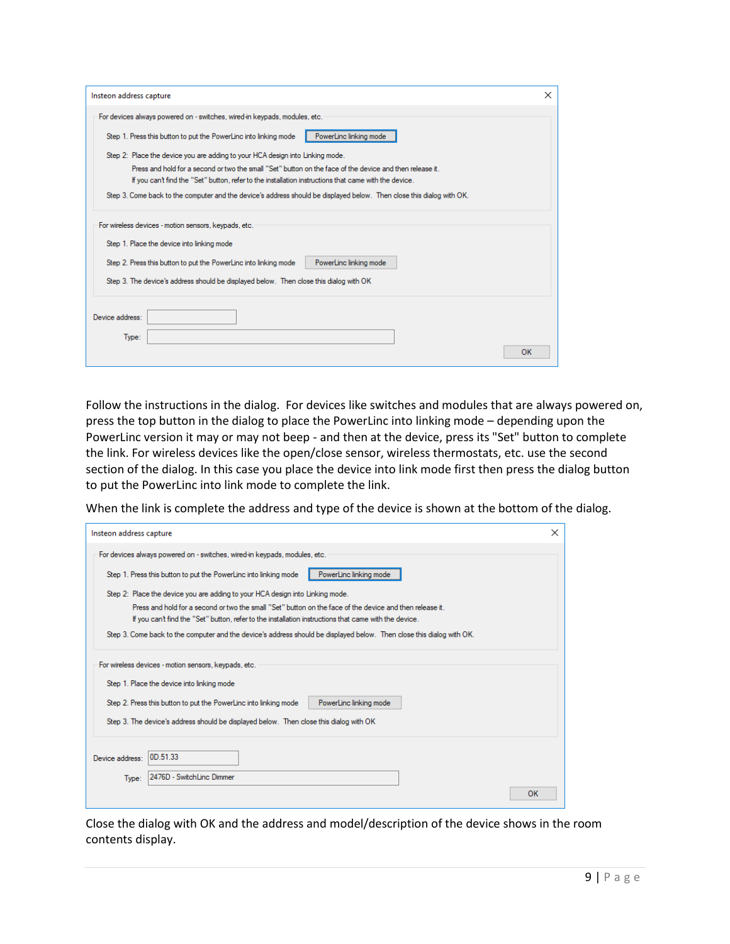| Insteon address capture                                                                                                                                                                                                                                                                    | $\times$ |
|--------------------------------------------------------------------------------------------------------------------------------------------------------------------------------------------------------------------------------------------------------------------------------------------|----------|
| For devices always powered on - switches, wired-in keypads, modules, etc.                                                                                                                                                                                                                  |          |
| PowerLinc linking mode<br>Step 1. Press this button to put the PowerLinc into linking mode                                                                                                                                                                                                 |          |
| Step 2: Place the device you are adding to your HCA design into Linking mode.                                                                                                                                                                                                              |          |
| Press and hold for a second or two the small "Set" button on the face of the device and then release it.                                                                                                                                                                                   |          |
| If you can't find the "Set" button, refer to the installation instructions that came with the device.                                                                                                                                                                                      |          |
| Step 3. Come back to the computer and the device's address should be displayed below. Then close this dialog with OK.                                                                                                                                                                      |          |
| For wireless devices - motion sensors, keypads, etc.<br>Step 1. Place the device into linking mode<br>PowerLinc linking mode<br>Step 2. Press this button to put the PowerLinc into linking mode<br>Step 3. The device's address should be displayed below. Then close this dialog with OK |          |
| Device address:<br>Type:<br>OK                                                                                                                                                                                                                                                             |          |

Follow the instructions in the dialog. For devices like switches and modules that are always powered on, press the top button in the dialog to place the PowerLinc into linking mode – depending upon the PowerLinc version it may or may not beep - and then at the device, press its "Set" button to complete the link. For wireless devices like the open/close sensor, wireless thermostats, etc. use the second section of the dialog. In this case you place the device into link mode first then press the dialog button to put the PowerLinc into link mode to complete the link.

When the link is complete the address and type of the device is shown at the bottom of the dialog.

| Insteon address capture                                                                                                                                                                                                                                                                    | $\times$ |
|--------------------------------------------------------------------------------------------------------------------------------------------------------------------------------------------------------------------------------------------------------------------------------------------|----------|
| For devices always powered on - switches, wired-in keypads, modules, etc.                                                                                                                                                                                                                  |          |
| PowerLinc linking mode<br>Step 1. Press this button to put the PowerLinc into linking mode                                                                                                                                                                                                 |          |
| Step 2: Place the device you are adding to your HCA design into Linking mode.                                                                                                                                                                                                              |          |
| Press and hold for a second or two the small "Set" button on the face of the device and then release it.<br>If you can't find the "Set" button, refer to the installation instructions that came with the device.                                                                          |          |
| Step 3. Come back to the computer and the device's address should be displayed below. Then close this dialog with OK.                                                                                                                                                                      |          |
| For wireless devices - motion sensors, keypads, etc.<br>Step 1. Place the device into linking mode<br>Step 2. Press this button to put the PowerLinc into linking mode<br>PowerLinc linking mode<br>Step 3. The device's address should be displayed below. Then close this dialog with OK |          |
| 0D 51 33<br>Device address:                                                                                                                                                                                                                                                                |          |
| 2476D - SwitchLinc Dimmer<br>Type:                                                                                                                                                                                                                                                         |          |
|                                                                                                                                                                                                                                                                                            | OK       |

Close the dialog with OK and the address and model/description of the device shows in the room contents display.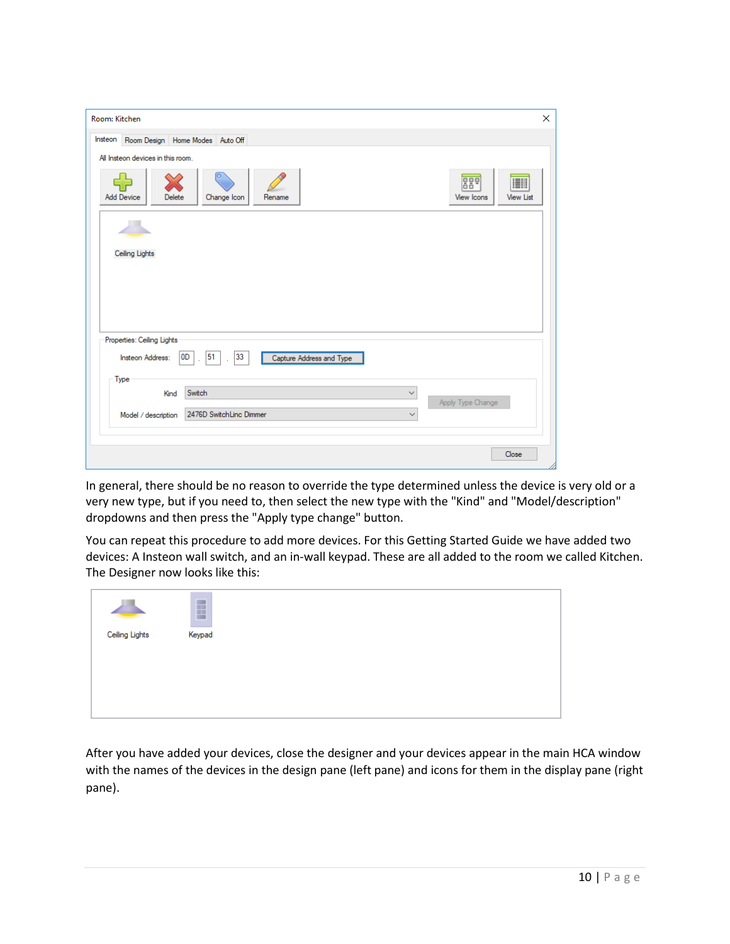| Room: Kitchen                                                                                              | ×                                                 |
|------------------------------------------------------------------------------------------------------------|---------------------------------------------------|
| Insteon<br>Room Design   Home Modes   Auto Off                                                             |                                                   |
| All Insteon devices in this room.<br><b>Add Device</b><br>Delete<br>Change Icon<br>Rename                  | 889<br>I<br><b>View Icons</b><br><b>View List</b> |
| Ceiling Lights                                                                                             |                                                   |
| Properties: Ceiling Lights<br>Insteon Address:<br>OD<br>51<br>33<br>Capture Address and Type<br>t,<br>Type |                                                   |
| Switch<br>Kind<br>$\checkmark$<br>2476D SwitchLinc Dimmer<br>Model / description<br>$\checkmark$           | Apply Type Change                                 |
|                                                                                                            | Close                                             |

In general, there should be no reason to override the type determined unless the device is very old or a very new type, but if you need to, then select the new type with the "Kind" and "Model/description" dropdowns and then press the "Apply type change" button.

You can repeat this procedure to add more devices. For this Getting Started Guide we have added two devices: A Insteon wall switch, and an in-wall keypad. These are all added to the room we called Kitchen. The Designer now looks like this:

After you have added your devices, close the designer and your devices appear in the main HCA window with the names of the devices in the design pane (left pane) and icons for them in the display pane (right pane).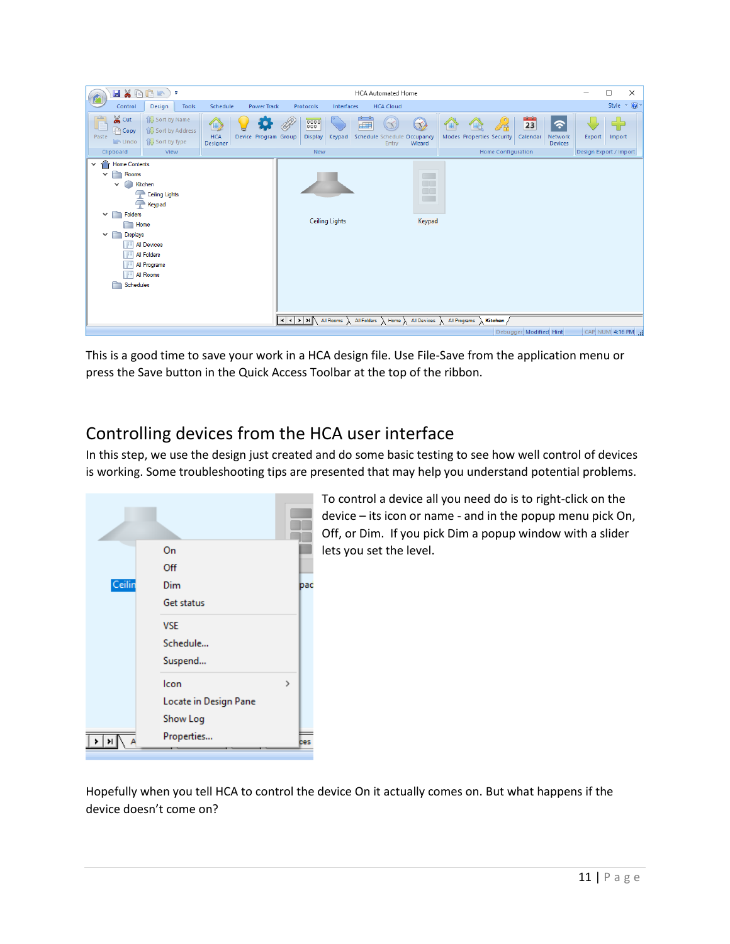| HXDOR<br><b>HCA Cloud</b><br>Control<br><b>Power Track</b><br>Design<br>Tools<br>Schedule<br>Protocols<br>Interfaces<br>& Cut<br>$\frac{dA}{dt}$<br>Sort by Name<br>8886<br>23<br>$\left( \infty \right)$<br>$\widehat{\phantom{a}}$<br>$\bullet$<br>dill<br>$\textcolor{red}{\textcircled{\tiny 2}}$<br>仙<br>孫<br><b>Copy</b><br><b>18</b> Sort by Address<br><b>HCA</b><br>Modes Properties Security<br>Calendar<br>Paste<br>Device Program Group<br><b>Display</b><br>Keypad<br>Schedule Schedule Occupancy<br>Network<br>Export<br><b>B</b> Sort by Type<br>$\blacksquare$ Undo<br>Wizard<br><b>Devices</b><br>Designer<br>Entry<br>New<br><b>Home Configuration</b><br>Design Export / Import<br>Clipboard<br>View<br><b>Home Contents</b><br>$\checkmark$<br>Rooms<br>$\checkmark$ |                          | $\cdot$ $\circ$<br>Style |
|------------------------------------------------------------------------------------------------------------------------------------------------------------------------------------------------------------------------------------------------------------------------------------------------------------------------------------------------------------------------------------------------------------------------------------------------------------------------------------------------------------------------------------------------------------------------------------------------------------------------------------------------------------------------------------------------------------------------------------------------------------------------------------------|--------------------------|--------------------------|
|                                                                                                                                                                                                                                                                                                                                                                                                                                                                                                                                                                                                                                                                                                                                                                                          |                          |                          |
|                                                                                                                                                                                                                                                                                                                                                                                                                                                                                                                                                                                                                                                                                                                                                                                          |                          | Import                   |
|                                                                                                                                                                                                                                                                                                                                                                                                                                                                                                                                                                                                                                                                                                                                                                                          |                          |                          |
| Kitchen<br>$\checkmark$<br>ā0<br>Ceiling Lights<br>$\rightarrow$<br>$\Box$<br>$\rightarrow$<br>Keypad<br>Folders<br>Y ∩<br><b>Ceiling Lights</b><br>Keypad<br>Home<br>$\vee$ $\Box$<br><b>Displays</b><br>All Devices<br>冊<br>All Folders<br>All Programs<br>田田<br><b>All Rooms</b><br>Schedules<br>∣к∣∢∣⊁∣⊁∥<br>All Rooms $\lambda$ All Folders $\lambda$ Home $\lambda$ All Devices $\lambda$ All Programs $\lambda$<br>Kitchen                                                                                                                                                                                                                                                                                                                                                        | $\overline{\phantom{a}}$ |                          |
| CAP NUM 4:16 PM<br>Debugger Modified Hint                                                                                                                                                                                                                                                                                                                                                                                                                                                                                                                                                                                                                                                                                                                                                |                          |                          |

This is a good time to save your work in a HCA design file. Use File-Save from the application menu or press the Save button in the Quick Access Toolbar at the top of the ribbon.

# Controlling devices from the HCA user interface

In this step, we use the design just created and do some basic testing to see how well control of devices is working. Some troubleshooting tips are presented that may help you understand potential problems.



To control a device all you need do is to right-click on the device – its icon or name - and in the popup menu pick On, Off, or Dim. If you pick Dim a popup window with a slider lets you set the level.

Hopefully when you tell HCA to control the device On it actually comes on. But what happens if the device doesn't come on?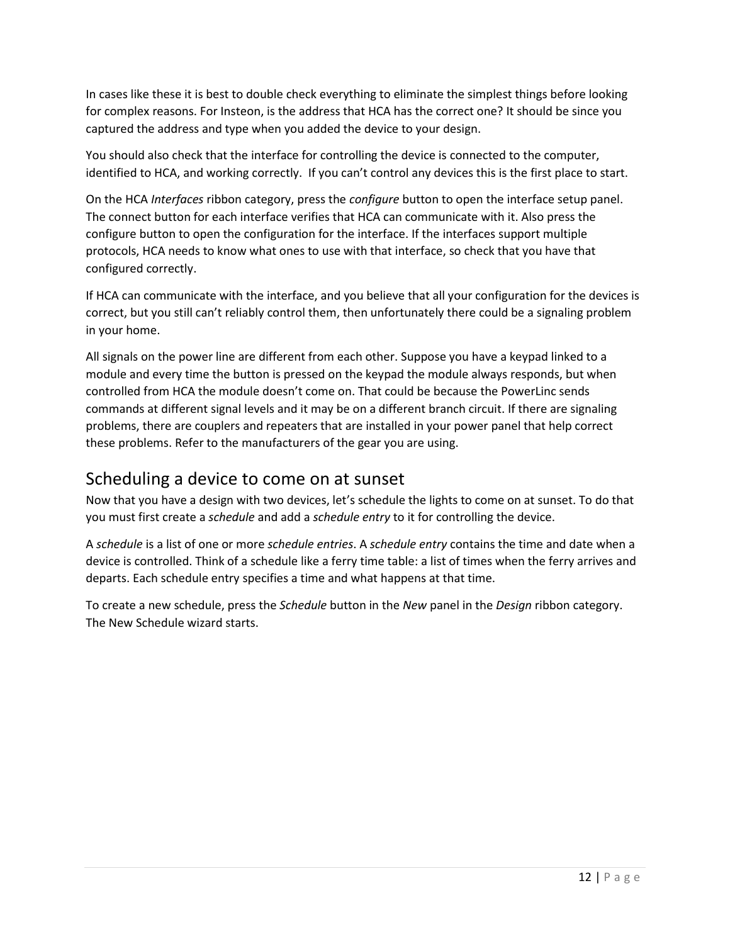In cases like these it is best to double check everything to eliminate the simplest things before looking for complex reasons. For Insteon, is the address that HCA has the correct one? It should be since you captured the address and type when you added the device to your design.

You should also check that the interface for controlling the device is connected to the computer, identified to HCA, and working correctly. If you can't control any devices this is the first place to start.

On the HCA *Interfaces* ribbon category, press the *configure* button to open the interface setup panel. The connect button for each interface verifies that HCA can communicate with it. Also press the configure button to open the configuration for the interface. If the interfaces support multiple protocols, HCA needs to know what ones to use with that interface, so check that you have that configured correctly.

If HCA can communicate with the interface, and you believe that all your configuration for the devices is correct, but you still can't reliably control them, then unfortunately there could be a signaling problem in your home.

All signals on the power line are different from each other. Suppose you have a keypad linked to a module and every time the button is pressed on the keypad the module always responds, but when controlled from HCA the module doesn't come on. That could be because the PowerLinc sends commands at different signal levels and it may be on a different branch circuit. If there are signaling problems, there are couplers and repeaters that are installed in your power panel that help correct these problems. Refer to the manufacturers of the gear you are using.

## Scheduling a device to come on at sunset

Now that you have a design with two devices, let's schedule the lights to come on at sunset. To do that you must first create a *schedule* and add a *schedule entry* to it for controlling the device.

A *schedule* is a list of one or more *schedule entries*. A *schedule entry* contains the time and date when a device is controlled. Think of a schedule like a ferry time table: a list of times when the ferry arrives and departs. Each schedule entry specifies a time and what happens at that time.

To create a new schedule, press the *Schedule* button in the *New* panel in the *Design* ribbon category. The New Schedule wizard starts.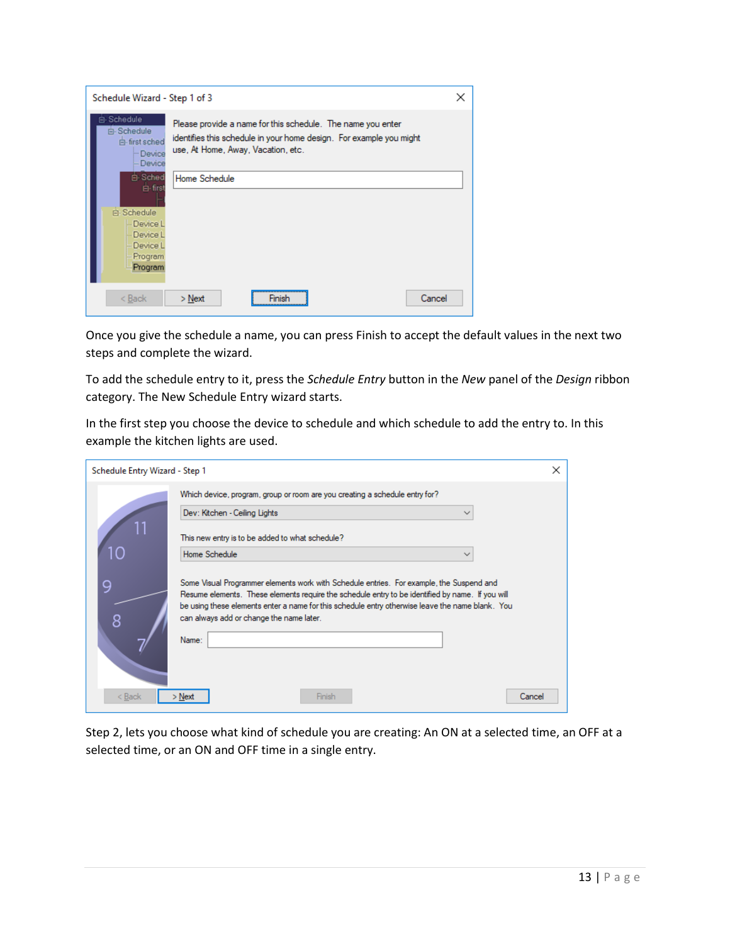| Schedule Wizard - Step 1 of 3                                  |                                                                                                                                                                          | × |
|----------------------------------------------------------------|--------------------------------------------------------------------------------------------------------------------------------------------------------------------------|---|
| 白 Schedule<br>白 Schedule<br>白· first sched<br>Device<br>Device | Please provide a name for this schedule. The name you enter<br>identifies this schedule in your home design. For example you might<br>use, At Home, Away, Vacation, etc. |   |
| 白 Sched<br>白·first<br>白 Schedule                               | Home Schedule                                                                                                                                                            |   |
| Device L<br>Device L<br>Device L<br>Program                    |                                                                                                                                                                          |   |
| Program<br>$Back$                                              | Cancel<br>$>$ Next<br>Finish                                                                                                                                             |   |

Once you give the schedule a name, you can press Finish to accept the default values in the next two steps and complete the wizard.

To add the schedule entry to it, press the *Schedule Entry* button in the *New* panel of the *Design* ribbon category. The New Schedule Entry wizard starts.

In the first step you choose the device to schedule and which schedule to add the entry to. In this example the kitchen lights are used.

| Schedule Entry Wizard - Step 1 |                                                                                                                                                                                                                                                                                                                                                       | × |
|--------------------------------|-------------------------------------------------------------------------------------------------------------------------------------------------------------------------------------------------------------------------------------------------------------------------------------------------------------------------------------------------------|---|
|                                | Which device, program, group or room are you creating a schedule entry for?                                                                                                                                                                                                                                                                           |   |
|                                | Dev: Kitchen - Ceiling Lights<br>$\checkmark$                                                                                                                                                                                                                                                                                                         |   |
|                                | This new entry is to be added to what schedule?                                                                                                                                                                                                                                                                                                       |   |
|                                | Home Schedule<br>$\check{ }$                                                                                                                                                                                                                                                                                                                          |   |
| 9<br>8                         | Some Visual Programmer elements work with Schedule entries. For example, the Suspend and<br>Resume elements. These elements require the schedule entry to be identified by name. If you will<br>be using these elements enter a name for this schedule entry otherwise leave the name blank. You<br>can always add or change the name later.<br>Name: |   |
| < Back                         | Finish<br>Cancel<br>> Next                                                                                                                                                                                                                                                                                                                            |   |

Step 2, lets you choose what kind of schedule you are creating: An ON at a selected time, an OFF at a selected time, or an ON and OFF time in a single entry.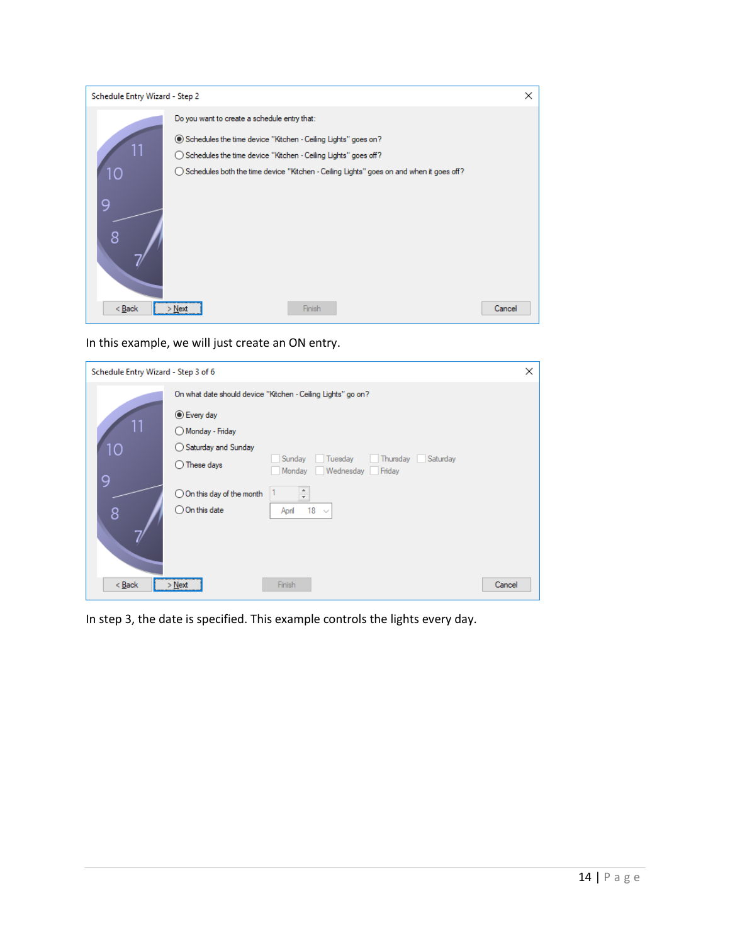| Schedule Entry Wizard - Step 2 |                                                                                                                                                                                                                                                                                           | ×      |
|--------------------------------|-------------------------------------------------------------------------------------------------------------------------------------------------------------------------------------------------------------------------------------------------------------------------------------------|--------|
| 10<br>9<br>8                   | Do you want to create a schedule entry that:<br>◉ Schedules the time device "Kitchen - Ceiling Lights" goes on?<br>◯ Schedules the time device "Kitchen - Ceiling Lights" goes off?<br>$\bigcirc$ Schedules both the time device "Kitchen - Ceiling Lights" goes on and when it goes off? |        |
| $Back$                         | Finish<br>$>$ Next                                                                                                                                                                                                                                                                        | Cancel |

In this example, we will just create an ON entry.

| Schedule Entry Wizard - Step 3 of 6 |                                     |                                                              | $\times$ |
|-------------------------------------|-------------------------------------|--------------------------------------------------------------|----------|
|                                     |                                     | On what date should device "Kitchen - Ceiling Lights" go on? |          |
|                                     | ◉ Every day                         |                                                              |          |
|                                     | Monday - Friday                     |                                                              |          |
| 10                                  | ◯ Saturday and Sunday               |                                                              |          |
|                                     | These days<br>( )                   | Thursday Saturday<br>Sunday<br>Tuesday                       |          |
| 9                                   |                                     | Monday<br>Wednesday<br>Friday                                |          |
|                                     | $\bigcirc$ On this day of the month | $\frac{1}{\tau}$                                             |          |
| 8                                   | $\bigcirc$ On this date             | 18<br>April<br>$\sim$                                        |          |
|                                     |                                     |                                                              |          |
|                                     |                                     |                                                              |          |
|                                     |                                     |                                                              |          |
|                                     |                                     |                                                              |          |
| $<$ Back                            | $>$ Next                            | Finish                                                       | Cancel   |

In step 3, the date is specified. This example controls the lights every day.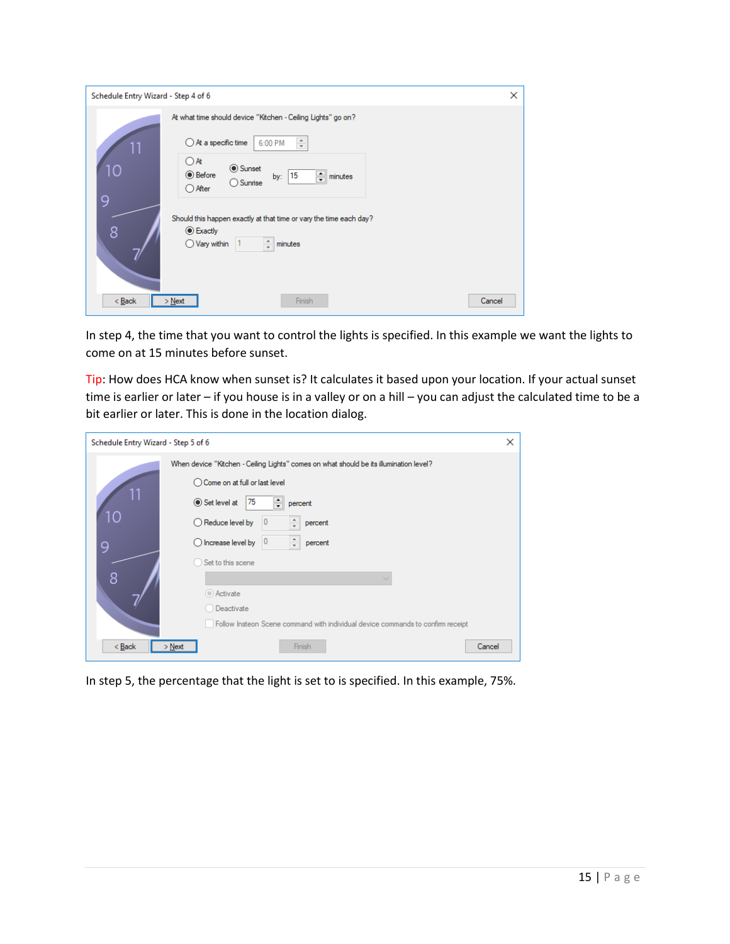| Schedule Entry Wizard - Step 4 of 6                                                                                                                                                                                                                              | × |
|------------------------------------------------------------------------------------------------------------------------------------------------------------------------------------------------------------------------------------------------------------------|---|
| At what time should device "Kitchen - Ceiling Lights" go on?<br>$\frac{a}{\pi}$<br>$\bigcirc$ At a specific time<br>6:00 PM<br>$\bigcirc$ At<br>10<br><b>◎</b> Sunset<br>◉ Before<br>$\Rightarrow$ minutes<br>15<br>by:<br>$\bigcap$ Sunrise<br>$\bigcirc$ After |   |
| 9<br>Should this happen exactly at that time or vary the time each day?<br>8<br>$\odot$ Exactly<br>$\frac{1}{\pi}$<br>$\bigcirc$ Vary within<br>minutes<br>1                                                                                                     |   |
| $Back$<br>Finish<br>$>$ Next<br>Cancel                                                                                                                                                                                                                           |   |

In step 4, the time that you want to control the lights is specified. In this example we want the lights to come on at 15 minutes before sunset.

Tip: How does HCA know when sunset is? It calculates it based upon your location. If your actual sunset time is earlier or later – if you house is in a valley or on a hill – you can adjust the calculated time to be a bit earlier or later. This is done in the location dialog.

| Schedule Entry Wizard - Step 5 of 6 |                                                                                        | ×      |
|-------------------------------------|----------------------------------------------------------------------------------------|--------|
|                                     | When device "Kitchen - Ceiling Lights" comes on what should be its illumination level? |        |
|                                     | ◯ Come on at full or last level                                                        |        |
| 11                                  | $\div$<br>75<br>$\odot$ Set level at<br>percent                                        |        |
| 10                                  | $\hat{=}$<br>$\bigcirc$ Reduce level by<br>0<br>percent                                |        |
| 9                                   | ÷<br>0<br>$\bigcirc$ Increase level by<br>percent                                      |        |
|                                     | Set to this scene                                                                      |        |
| 8                                   |                                                                                        |        |
|                                     | Activate                                                                               |        |
|                                     | Deactivate                                                                             |        |
|                                     | Follow Insteon Scene command with individual device commands to confirm receipt        |        |
| < Back                              | Finish<br>> Next                                                                       | Cancel |

In step 5, the percentage that the light is set to is specified. In this example, 75%.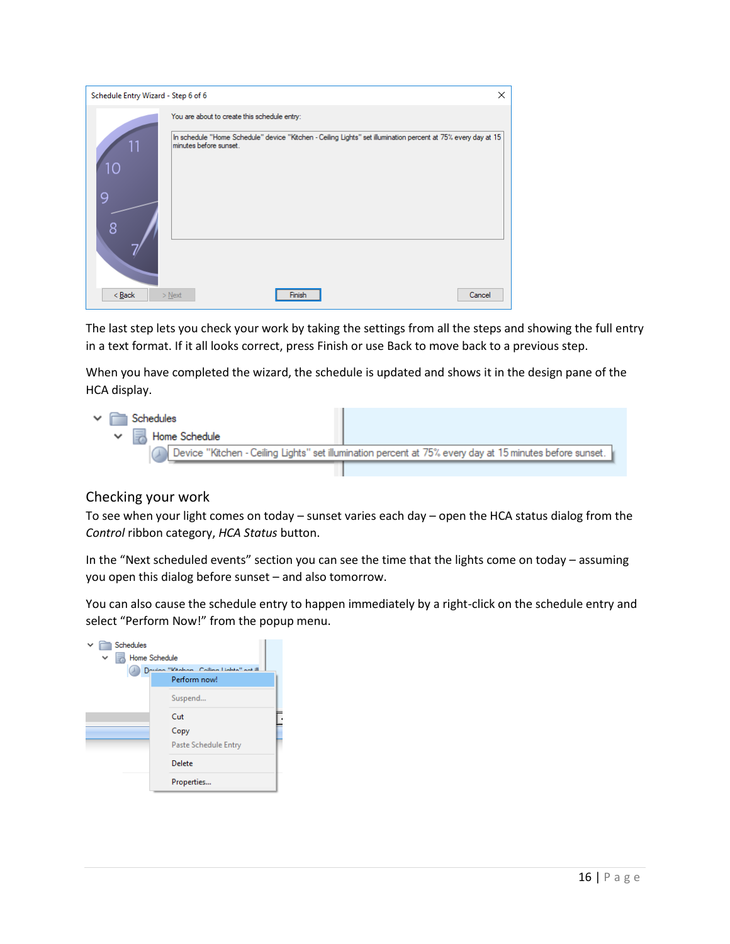| Schedule Entry Wizard - Step 6 of 6 |                                                                                                                                         |   |
|-------------------------------------|-----------------------------------------------------------------------------------------------------------------------------------------|---|
|                                     |                                                                                                                                         | × |
|                                     | You are about to create this schedule entry:                                                                                            |   |
| 11<br>10<br>g<br>8                  | In schedule "Home Schedule" device "Kitchen - Ceiling Lights" set illumination percent at 75% every day at 15<br>minutes before sunset. |   |
| $Back$<br>$>$ Next                  | Cancel<br>Finish                                                                                                                        |   |

The last step lets you check your work by taking the settings from all the steps and showing the full entry in a text format. If it all looks correct, press Finish or use Back to move back to a previous step.

When you have completed the wizard, the schedule is updated and shows it in the design pane of the HCA display.



#### Checking your work

To see when your light comes on today – sunset varies each day – open the HCA status dialog from the *Control* ribbon category, *HCA Status* button.

In the "Next scheduled events" section you can see the time that the lights come on today – assuming you open this dialog before sunset – and also tomorrow.

You can also cause the schedule entry to happen immediately by a right-click on the schedule entry and select "Perform Now!" from the popup menu.

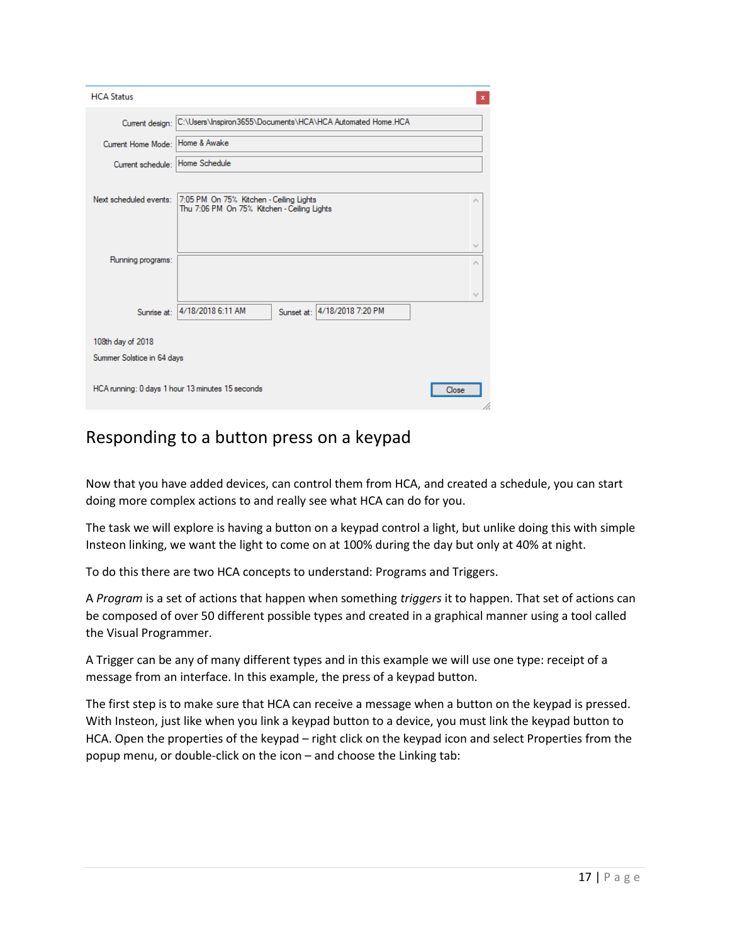| <b>HCA Status</b>          | ×                                                          |
|----------------------------|------------------------------------------------------------|
| Current design:            | C:\Users\Inspiron3655\Documents\HCA\HCA Automated Home.HCA |
| Current Home Mode:         | Home & Awake                                               |
| Current schedule:          | Home Schedule                                              |
| Next scheduled events:     | 7:05 PM On 75% Kitchen - Ceiling Lights<br>×               |
|                            | Thu 7:06 PM On 75% Kitchen - Ceiling Lights                |
|                            | v                                                          |
| Running programs:          |                                                            |
|                            | v                                                          |
| Sunrise at:                | Sunset at: 4/18/2018 7:20 PM<br>4/18/2018 6:11 AM          |
| 108th day of 2018          |                                                            |
| Summer Solstice in 64 days |                                                            |
|                            | HCA running: 0 days 1 hour 13 minutes 15 seconds<br>Close  |

## Responding to a button press on a keypad

Now that you have added devices, can control them from HCA, and created a schedule, you can start doing more complex actions to and really see what HCA can do for you.

The task we will explore is having a button on a keypad control a light, but unlike doing this with simple Insteon linking, we want the light to come on at 100% during the day but only at 40% at night.

To do this there are two HCA concepts to understand: Programs and Triggers.

A *Program* is a set of actions that happen when something *triggers* it to happen. That set of actions can be composed of over 50 different possible types and created in a graphical manner using a tool called the Visual Programmer.

A Trigger can be any of many different types and in this example we will use one type: receipt of a message from an interface. In this example, the press of a keypad button.

The first step is to make sure that HCA can receive a message when a button on the keypad is pressed. With Insteon, just like when you link a keypad button to a device, you must link the keypad button to HCA. Open the properties of the keypad – right click on the keypad icon and select Properties from the popup menu, or double-click on the icon – and choose the Linking tab: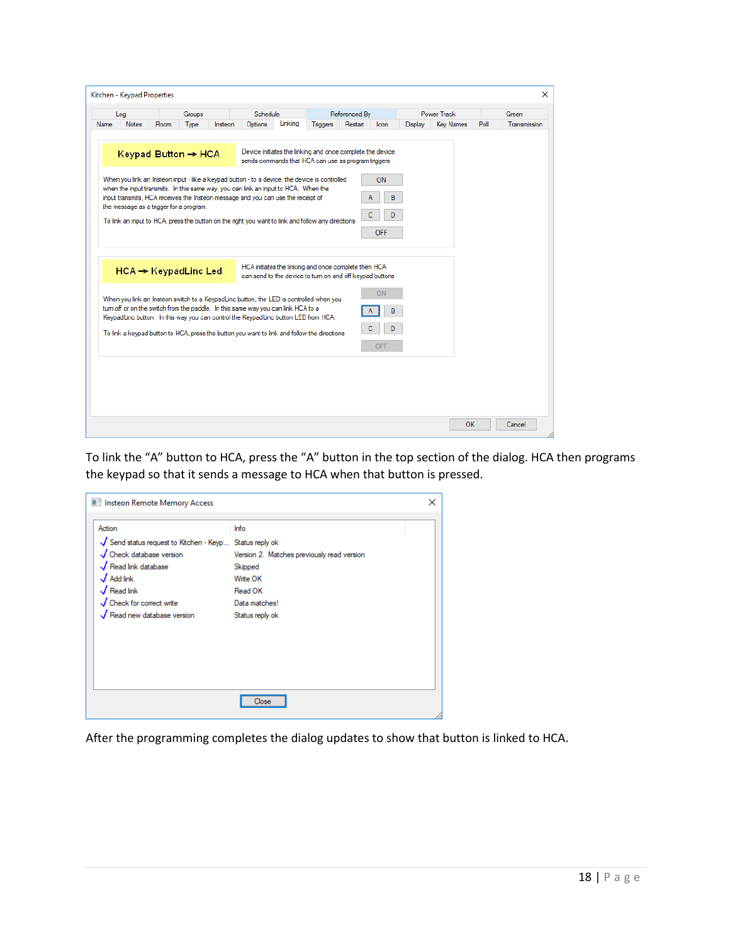|      | Log                                                                        |      | Groups |         | Schedule                                                                                                                                                                                                                                                                                                                                                                     |         |                                                                                                                  | Referenced By |                      |                | <b>Power Track</b> |      | Green        |
|------|----------------------------------------------------------------------------|------|--------|---------|------------------------------------------------------------------------------------------------------------------------------------------------------------------------------------------------------------------------------------------------------------------------------------------------------------------------------------------------------------------------------|---------|------------------------------------------------------------------------------------------------------------------|---------------|----------------------|----------------|--------------------|------|--------------|
| Name | <b>Notes</b>                                                               | Room | Type   | Insteon | Options                                                                                                                                                                                                                                                                                                                                                                      | Linking | <b>Triggers</b>                                                                                                  | Restart       | <b>Icon</b>          | <b>Display</b> | <b>Key Names</b>   | Poll | Transmission |
|      | Keypad Button $\rightarrow$ HCA<br>the message as a trigger for a program. |      |        |         | When you link an Insteon input - like a keypad button - to a device, the device is controlled<br>when the input transmits. In this same way, you can link an input to HCA. When the<br>input transmits. HCA receives the Insteon message and you can use the receipt of<br>To link an input to HCA, press the button on the right you want to link and follow any directions |         | Device initiates the linking and once complete the device<br>sends commands that HCA can use as program triggers |               | ON.<br>В<br>D<br>OFF |                |                    |      |              |
|      | $HCA \rightarrow KeypadLine$ Led                                           |      |        |         | When you link an Insteon switch to a KeypadLinc button, the LED is controlled when you<br>tum off or on the switch from the paddle. In this same way you can link HCA to a                                                                                                                                                                                                   |         | HCA initiates the linking and once complete then HCA<br>can send to the device to tum on and off keypad buttons  |               | ON<br>R              |                |                    |      |              |
|      |                                                                            |      |        |         | KeypadLinc button. In this way you can control the KeypadLinc button LED from HCA.<br>To link a keypad button to HCA, press the button you want to link and follow the directions                                                                                                                                                                                            |         |                                                                                                                  |               | D<br>OFF             |                |                    |      |              |
|      |                                                                            |      |        |         |                                                                                                                                                                                                                                                                                                                                                                              |         |                                                                                                                  |               |                      |                |                    |      |              |

To link the "A" button to HCA, press the "A" button in the top section of the dialog. HCA then programs the keypad so that it sends a message to HCA when that button is pressed.

| Action                                                | Info                                       |  |
|-------------------------------------------------------|--------------------------------------------|--|
| Send status request to Kitchen - Keyp Status reply ok |                                            |  |
| Check database version                                | Version 2. Matches previously read version |  |
| Read link database                                    | Skipped                                    |  |
| $\sqrt{\,}$ Add link                                  | Write OK                                   |  |
| $\sqrt{}$ Read link                                   | Read OK                                    |  |
| Check for correct write                               | Data matches!                              |  |
| Read new database version                             | Status reply ok                            |  |
|                                                       |                                            |  |
|                                                       |                                            |  |
|                                                       |                                            |  |
|                                                       |                                            |  |
|                                                       |                                            |  |
|                                                       |                                            |  |

After the programming completes the dialog updates to show that button is linked to HCA.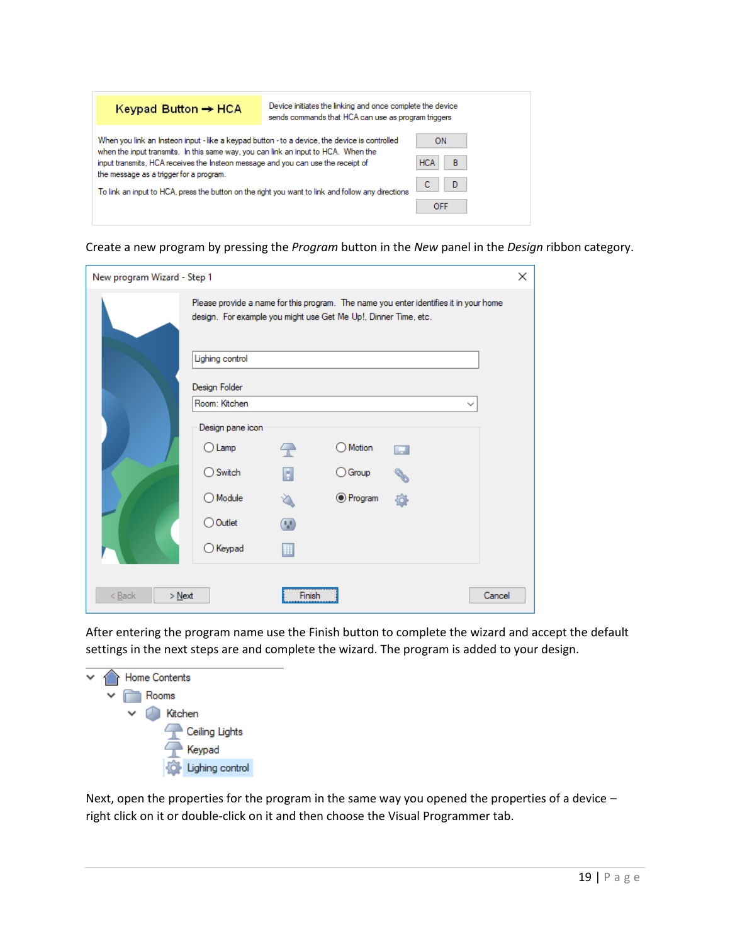| Keypad Button $\rightarrow$ HCA                                                                                                                                                                                                                                                                                                                                                                                         | Device initiates the linking and once complete the device<br>sends commands that HCA can use as program triggers |                                                      |
|-------------------------------------------------------------------------------------------------------------------------------------------------------------------------------------------------------------------------------------------------------------------------------------------------------------------------------------------------------------------------------------------------------------------------|------------------------------------------------------------------------------------------------------------------|------------------------------------------------------|
| When you link an Insteon input - like a keypad button - to a device, the device is controlled<br>when the input transmits. In this same way, you can link an input to HCA. When the<br>input transmits. HCA receives the Insteon message and you can use the receipt of<br>the message as a trigger for a program.<br>To link an input to HCA, press the button on the right you want to link and follow any directions |                                                                                                                  | <b>ON</b><br>B<br><b>HCA</b><br>D<br>C<br><b>OFF</b> |

Create a new program by pressing the *Program* button in the *New* panel in the *Design* ribbon category.

| New program Wizard - Step 1             |                                                                 |                |                  |                                                                                       | × |
|-----------------------------------------|-----------------------------------------------------------------|----------------|------------------|---------------------------------------------------------------------------------------|---|
|                                         | design. For example you might use Get Me Up!, Dinner Time, etc. |                |                  | Please provide a name for this program. The name you enter identifies it in your home |   |
|                                         | Lighing control                                                 |                |                  |                                                                                       |   |
|                                         | Design Folder                                                   |                |                  |                                                                                       |   |
|                                         | Room: Kitchen                                                   |                |                  | $\check{ }$                                                                           |   |
|                                         | Design pane icon                                                |                |                  |                                                                                       |   |
|                                         | $\bigcirc$ Lamp                                                 | $\overline{a}$ | Motion           | ш                                                                                     |   |
|                                         | ◯ Switch                                                        | H              | Group<br>∋       |                                                                                       |   |
|                                         | ◯ Module                                                        |                | <b>●</b> Program |                                                                                       |   |
|                                         | ◯ Outlet                                                        | œ              |                  |                                                                                       |   |
|                                         | $\bigcirc$ Keypad                                               |                |                  |                                                                                       |   |
| $< \underline{\text{Back}}$<br>$>$ Next |                                                                 | Finish         |                  | Cancel                                                                                |   |

After entering the program name use the Finish button to complete the wizard and accept the default settings in the next steps are and complete the wizard. The program is added to your design.



Next, open the properties for the program in the same way you opened the properties of a device – right click on it or double-click on it and then choose the Visual Programmer tab.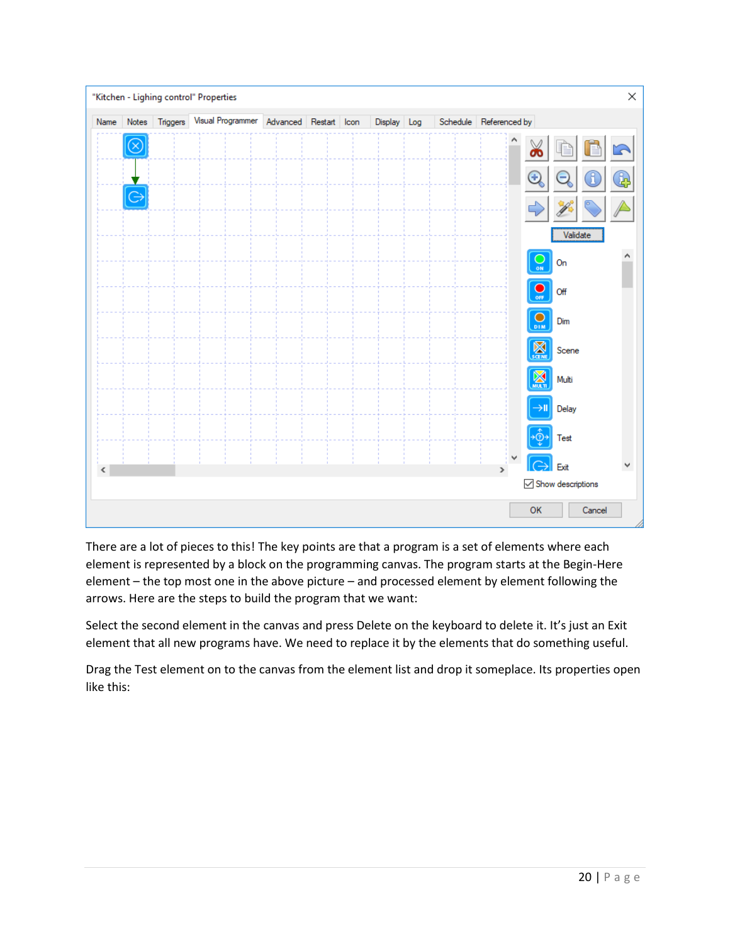

There are a lot of pieces to this! The key points are that a program is a set of elements where each element is represented by a block on the programming canvas. The program starts at the Begin-Here element – the top most one in the above picture – and processed element by element following the arrows. Here are the steps to build the program that we want:

Select the second element in the canvas and press Delete on the keyboard to delete it. It's just an Exit element that all new programs have. We need to replace it by the elements that do something useful.

Drag the Test element on to the canvas from the element list and drop it someplace. Its properties open like this: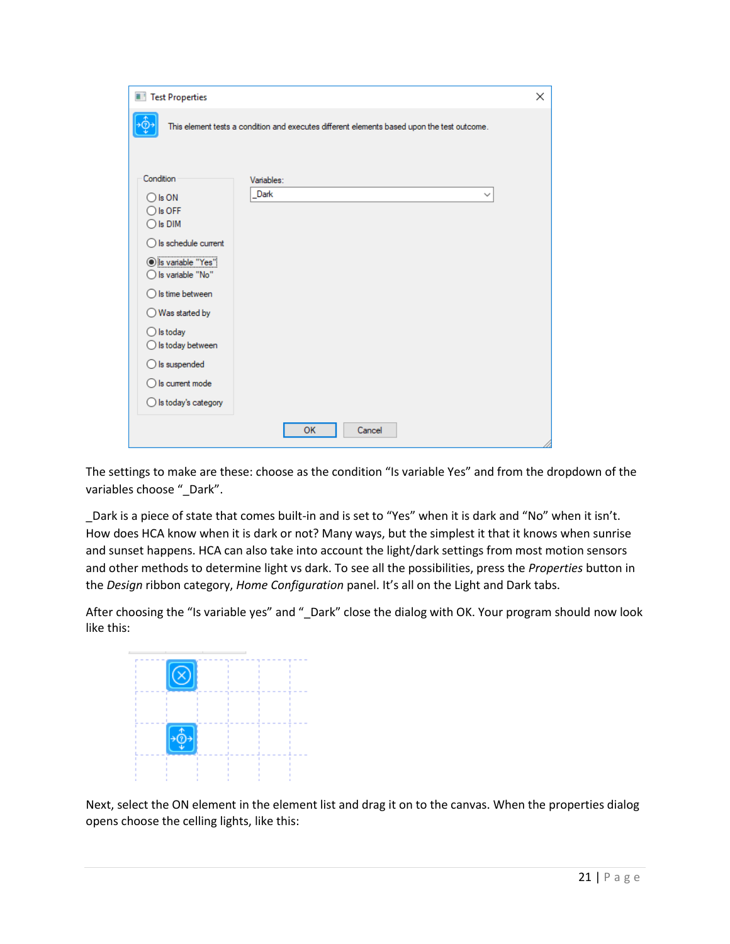| Test Properties                                   |                                                                                             | × |
|---------------------------------------------------|---------------------------------------------------------------------------------------------|---|
|                                                   | This element tests a condition and executes different elements based upon the test outcome. |   |
|                                                   |                                                                                             |   |
|                                                   |                                                                                             |   |
| Condition                                         | Variables:                                                                                  |   |
| $\bigcirc$ is ON                                  | Dark<br>$\checkmark$                                                                        |   |
| $\bigcirc$ is OFF                                 |                                                                                             |   |
| $\bigcirc$ is DiM                                 |                                                                                             |   |
| $\bigcirc$ is schedule current                    |                                                                                             |   |
| Sis variable "Yes"<br>$\bigcirc$ Is variable "No" |                                                                                             |   |
| $\bigcirc$ Is time between                        |                                                                                             |   |
| Was started by<br>Ω                               |                                                                                             |   |
| $\bigcirc$ is today                               |                                                                                             |   |
| $\bigcirc$ Is today between                       |                                                                                             |   |
| $\bigcirc$ is suspended                           |                                                                                             |   |
| $\bigcirc$ Is current mode                        |                                                                                             |   |
| $\bigcirc$ is today's category                    |                                                                                             |   |
|                                                   |                                                                                             |   |
|                                                   | <b>OK</b><br>Cancel                                                                         |   |

The settings to make are these: choose as the condition "Is variable Yes" and from the dropdown of the variables choose "\_Dark".

\_Dark is a piece of state that comes built-in and is set to "Yes" when it is dark and "No" when it isn't. How does HCA know when it is dark or not? Many ways, but the simplest it that it knows when sunrise and sunset happens. HCA can also take into account the light/dark settings from most motion sensors and other methods to determine light vs dark. To see all the possibilities, press the *Properties* button in the *Design* ribbon category, *Home Configuration* panel. It's all on the Light and Dark tabs.

After choosing the "Is variable yes" and " Dark" close the dialog with OK. Your program should now look like this:



Next, select the ON element in the element list and drag it on to the canvas. When the properties dialog opens choose the celling lights, like this: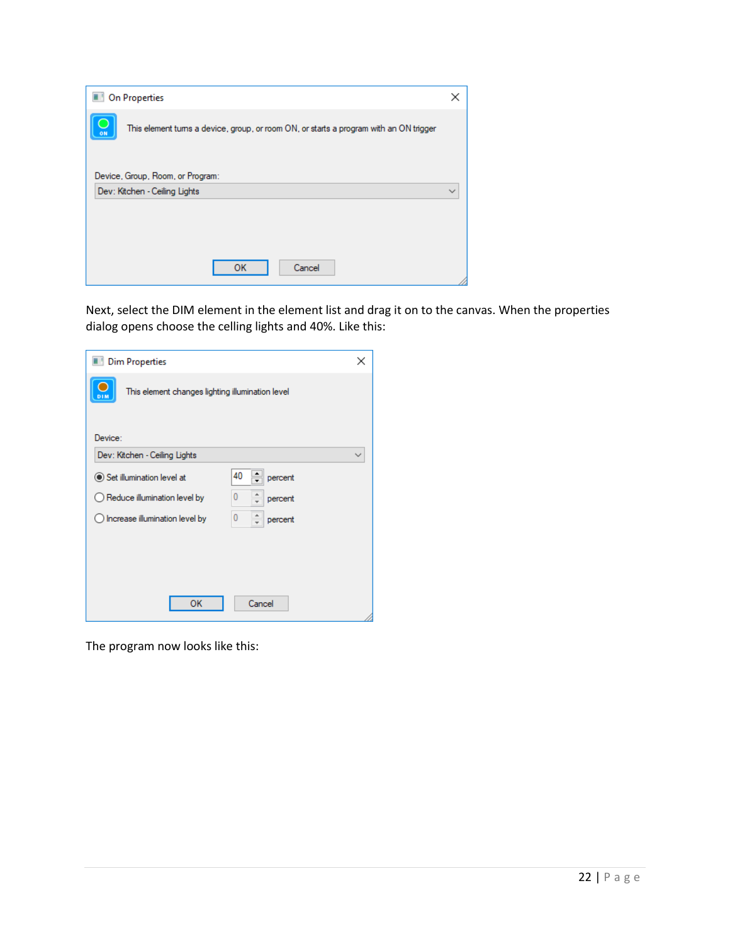|    | <b>Dell</b> On Properties                                                              |  |
|----|----------------------------------------------------------------------------------------|--|
| ON | This element turns a device, group, or room ON, or starts a program with an ON trigger |  |
|    | Device, Group, Room, or Program:<br>Dev: Kitchen - Ceiling Lights                      |  |
|    |                                                                                        |  |
|    | Cancel<br>ок                                                                           |  |

Next, select the DIM element in the element list and drag it on to the canvas. When the properties dialog opens choose the celling lights and 40%. Like this:

| Dim Properties                                                   | x |
|------------------------------------------------------------------|---|
| п<br>This element changes lighting illumination level<br>DIM     |   |
| Device:                                                          |   |
| Dev: Kitchen - Ceiling Lights                                    |   |
| 40<br>Set illumination level at<br>percent                       |   |
| 0<br>$\bigcirc$ Reduce illumination level by<br>percent          |   |
| $\bf{0}$<br>$\bigcirc$ Increase illumination level by<br>percent |   |
|                                                                  |   |
|                                                                  |   |
|                                                                  |   |
| OK<br>Cancel                                                     |   |

The program now looks like this: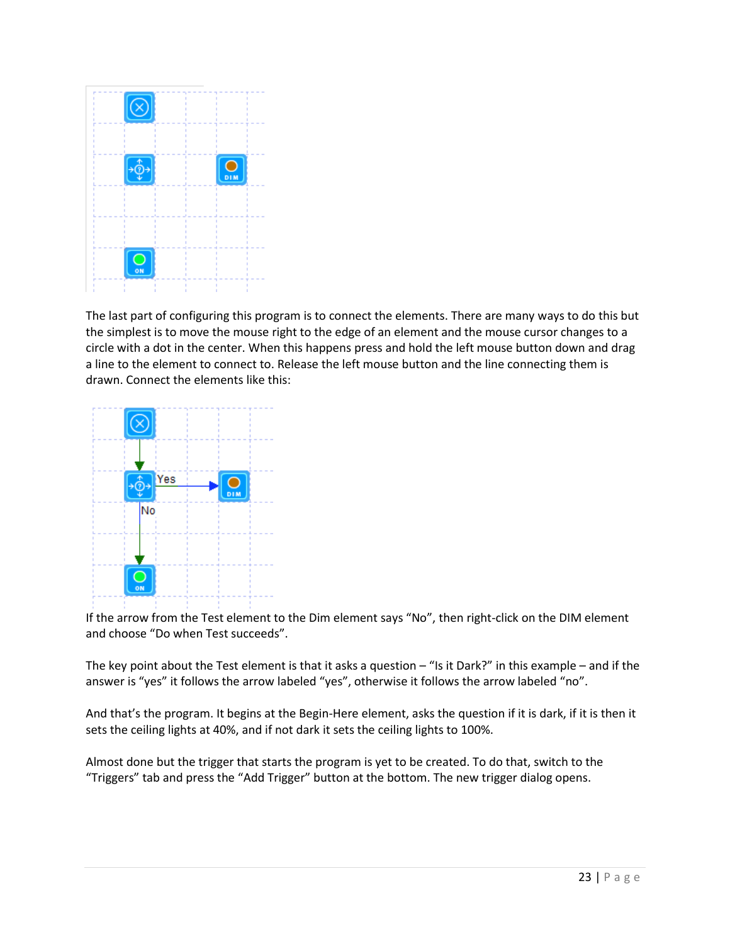

The last part of configuring this program is to connect the elements. There are many ways to do this but the simplest is to move the mouse right to the edge of an element and the mouse cursor changes to a circle with a dot in the center. When this happens press and hold the left mouse button down and drag a line to the element to connect to. Release the left mouse button and the line connecting them is drawn. Connect the elements like this:



If the arrow from the Test element to the Dim element says "No", then right-click on the DIM element and choose "Do when Test succeeds".

The key point about the Test element is that it asks a question  $-$  "Is it Dark?" in this example – and if the answer is "yes" it follows the arrow labeled "yes", otherwise it follows the arrow labeled "no".

And that's the program. It begins at the Begin-Here element, asks the question if it is dark, if it is then it sets the ceiling lights at 40%, and if not dark it sets the ceiling lights to 100%.

Almost done but the trigger that starts the program is yet to be created. To do that, switch to the "Triggers" tab and press the "Add Trigger" button at the bottom. The new trigger dialog opens.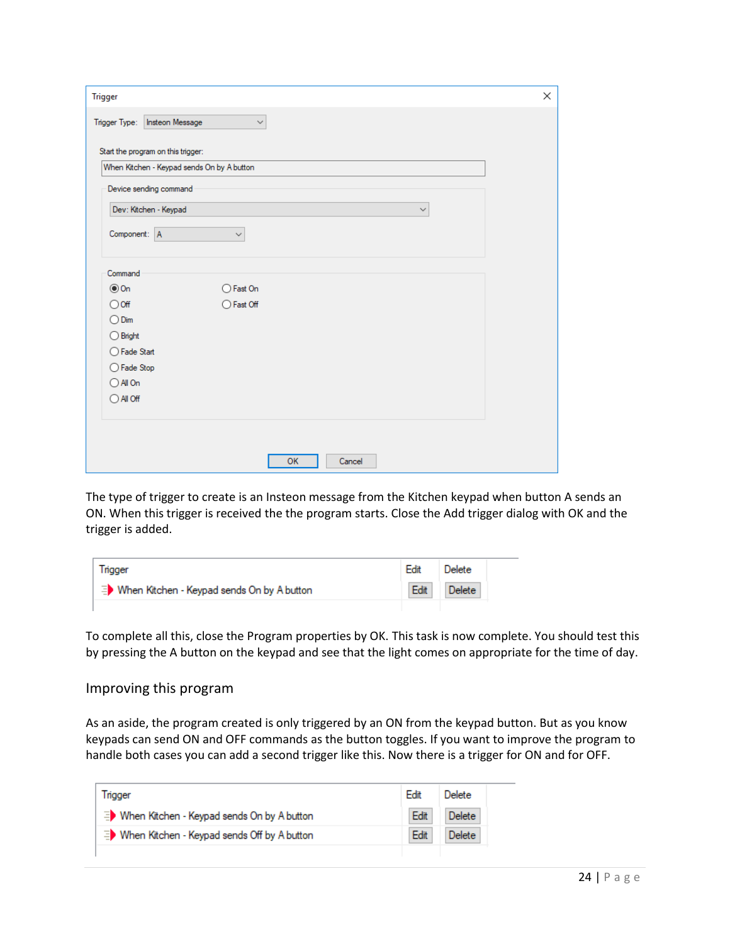| <b>Trigger</b>                             |              |        | X |
|--------------------------------------------|--------------|--------|---|
| Trigger Type:   Insteon Message            | $\checkmark$ |        |   |
| Start the program on this trigger:         |              |        |   |
| When Kitchen - Keypad sends On by A button |              |        |   |
| Device sending command                     |              |        |   |
| Dev: Kitchen - Keypad                      |              | v      |   |
| Component: A                               | $\checkmark$ |        |   |
|                                            |              |        |   |
| Command                                    |              |        |   |
| $\circledcirc$ On                          | ○ Fast On    |        |   |
| $\bigcirc$ off                             | ◯ Fast Off   |        |   |
| $\bigcirc$ Dim                             |              |        |   |
| $\bigcirc$ Bright                          |              |        |   |
| ◯ Fade Start                               |              |        |   |
| ◯ Fade Stop                                |              |        |   |
| $\bigcirc$ All On                          |              |        |   |
| $\bigcirc$ All Off                         |              |        |   |
|                                            |              |        |   |
|                                            |              |        |   |
|                                            | OK           | Cancel |   |
|                                            |              |        |   |

The type of trigger to create is an Insteon message from the Kitchen keypad when button A sends an ON. When this trigger is received the the program starts. Close the Add trigger dialog with OK and the trigger is added.

| <b>Trigger</b>                               | Edit | Delete |
|----------------------------------------------|------|--------|
| ■ When Kitchen - Keypad sends On by A button | Edit | Delete |
|                                              |      |        |

To complete all this, close the Program properties by OK. This task is now complete. You should test this by pressing the A button on the keypad and see that the light comes on appropriate for the time of day.

#### Improving this program

As an aside, the program created is only triggered by an ON from the keypad button. But as you know keypads can send ON and OFF commands as the button toggles. If you want to improve the program to handle both cases you can add a second trigger like this. Now there is a trigger for ON and for OFF.

| Trigger                                                  | Edit | Delete        |
|----------------------------------------------------------|------|---------------|
| <b>ED</b> When Kitchen - Keypad sends On by A button     | Edit | <b>Delete</b> |
| <sup>■</sup> When Kitchen - Keypad sends Off by A button | Edit | Delete:       |
|                                                          |      |               |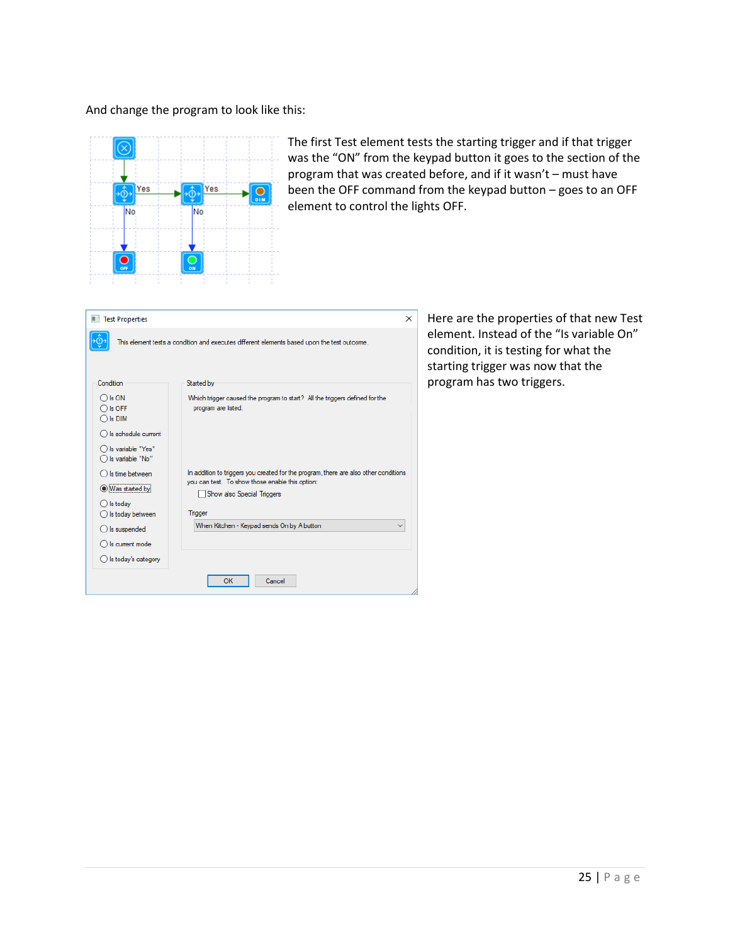#### And change the program to look like this:



The first Test element tests the starting trigger and if that trigger was the "ON" from the keypad button it goes to the section of the program that was created before, and if it wasn't – must have been the OFF command from the keypad button – goes to an OFF element to control the lights OFF.

| Test Properties                                           |                                                                                                                                         | $\times$ |
|-----------------------------------------------------------|-----------------------------------------------------------------------------------------------------------------------------------------|----------|
|                                                           | This element tests a condition and executes different elements based upon the test outcome.                                             |          |
| Condition                                                 | Started by                                                                                                                              |          |
| $\bigcap$ is ON<br>$\bigcirc$ Is OFF<br>$\bigcirc$ is DIM | Which trigger caused the program to start? All the triggers defined for the<br>program are listed.                                      |          |
| $\bigcap$ is schedule current                             |                                                                                                                                         |          |
| Is variable "Yes"<br>Is variable "No"                     |                                                                                                                                         |          |
| Is time between<br><b>Was started by</b>                  | In addition to triggers you created for the program, there are also other conditions<br>you can test. To show those enable this option: |          |
|                                                           | Show also Special Triggers                                                                                                              |          |
| $\bigcirc$ is today                                       |                                                                                                                                         |          |
| Is today between                                          | Trigger                                                                                                                                 |          |
| $\bigcirc$ is suspended                                   | When Kitchen - Keypad sends On by A button                                                                                              |          |
| Is current mode                                           |                                                                                                                                         |          |
| $\bigcirc$ is today's category                            |                                                                                                                                         |          |
|                                                           | OK<br>Cancel                                                                                                                            |          |

Here are the properties of that new Test element. Instead of the "Is variable On" condition, it is testing for what the starting trigger was now that the program has two triggers.